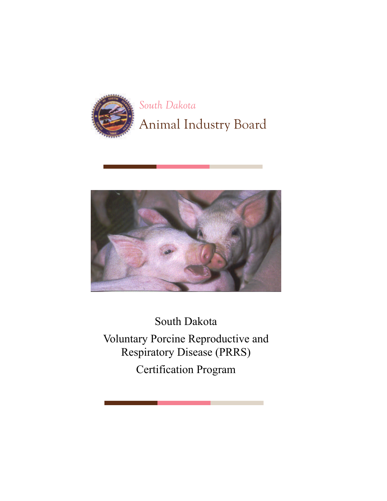

# *South Dakota*  Animal Industry Board



South Dakota Voluntary Porcine Reproductive and Respiratory Disease (PRRS) Certification Program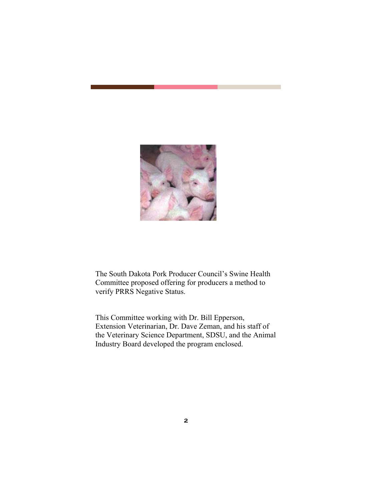

The South Dakota Pork Producer Council's Swine Health Committee proposed offering for producers a method to verify PRRS Negative Status.

This Committee working with Dr. Bill Epperson, Extension Veterinarian, Dr. Dave Zeman, and his staff of the Veterinary Science Department, SDSU, and the Animal Industry Board developed the program enclosed.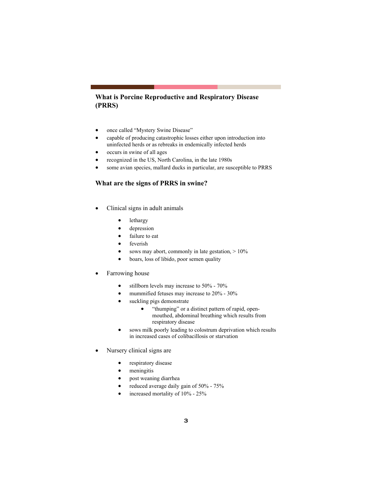# **What is Porcine Reproductive and Respiratory Disease (PRRS)**

- once called "Mystery Swine Disease"
- capable of producing catastrophic losses either upon introduction into uninfected herds or as rebreaks in endemically infected herds
- occurs in swine of all ages
- recognized in the US, North Carolina, in the late 1980s
- some avian species, mallard ducks in particular, are susceptible to PRRS

#### **What are the signs of PRRS in swine?**

- Clinical signs in adult animals
	- **lethargy**
	- depression
	- failure to eat
	- feverish
	- sows may abort, commonly in late gestation,  $> 10\%$
	- boars, loss of libido, poor semen quality

#### • Farrowing house

- stillborn levels may increase to 50% 70%
- mummified fetuses may increase to 20% 30%
- suckling pigs demonstrate
	- "thumping" or a distinct pattern of rapid, openmouthed, abdominal breathing which results from respiratory disease
- sows milk poorly leading to colostrum deprivation which results in increased cases of colibacillosis or starvation
- Nursery clinical signs are
	- respiratory disease
	- meningitis
	- post weaning diarrhea
	- reduced average daily gain of 50% 75%
	- increased mortality of  $10\%$  25%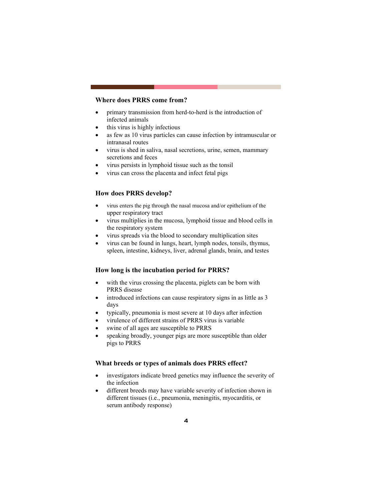# **Where does PRRS come from?**

- primary transmission from herd-to-herd is the introduction of infected animals
- this virus is highly infectious
- as few as 10 virus particles can cause infection by intramuscular or intranasal routes
- virus is shed in saliva, nasal secretions, urine, semen, mammary secretions and feces
- virus persists in lymphoid tissue such as the tonsil
- virus can cross the placenta and infect fetal pigs

# **How does PRRS develop?**

- virus enters the pig through the nasal mucosa and/or epithelium of the upper respiratory tract
- virus multiplies in the mucosa, lymphoid tissue and blood cells in the respiratory system
- virus spreads via the blood to secondary multiplication sites
- virus can be found in lungs, heart, lymph nodes, tonsils, thymus, spleen, intestine, kidneys, liver, adrenal glands, brain, and testes

#### **How long is the incubation period for PRRS?**

- with the virus crossing the placenta, piglets can be born with PRRS disease
- introduced infections can cause respiratory signs in as little as 3 days
- typically, pneumonia is most severe at 10 days after infection
- virulence of different strains of PRRS virus is variable
- swine of all ages are susceptible to PRRS
- speaking broadly, younger pigs are more susceptible than older pigs to PRRS

#### **What breeds or types of animals does PRRS effect?**

- investigators indicate breed genetics may influence the severity of the infection
- different breeds may have variable severity of infection shown in different tissues (i.e., pneumonia, meningitis, myocarditis, or serum antibody response)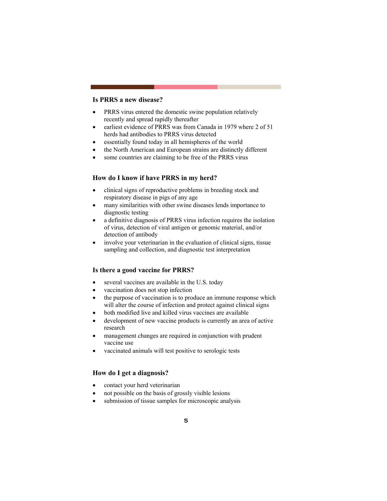# **Is PRRS a new disease?**

- PRRS virus entered the domestic swine population relatively recently and spread rapidly thereafter
- earliest evidence of PRRS was from Canada in 1979 where 2 of 51 herds had antibodies to PRRS virus detected
- essentially found today in all hemispheres of the world
- the North American and European strains are distinctly different
- some countries are claiming to be free of the PRRS virus

# **How do I know if have PRRS in my herd?**

- clinical signs of reproductive problems in breeding stock and respiratory disease in pigs of any age
- many similarities with other swine diseases lends importance to diagnostic testing
- a definitive diagnosis of PRRS virus infection requires the isolation of virus, detection of viral antigen or genomic material, and/or detection of antibody
- involve your veterinarian in the evaluation of clinical signs, tissue sampling and collection, and diagnostic test interpretation

#### **Is there a good vaccine for PRRS?**

- several vaccines are available in the U.S. today
- vaccination does not stop infection
- the purpose of vaccination is to produce an immune response which will alter the course of infection and protect against clinical signs
- both modified live and killed virus vaccines are available
- development of new vaccine products is currently an area of active research
- management changes are required in conjunction with prudent vaccine use
- vaccinated animals will test positive to serologic tests

# **How do I get a diagnosis?**

- contact your herd veterinarian
- not possible on the basis of grossly visible lesions
- submission of tissue samples for microscopic analysis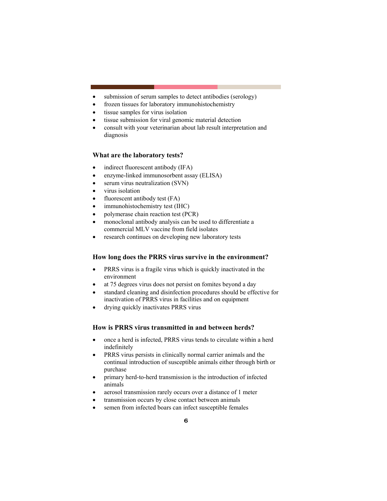- submission of serum samples to detect antibodies (serology)
- frozen tissues for laboratory immunohistochemistry
- tissue samples for virus isolation
- tissue submission for viral genomic material detection
- consult with your veterinarian about lab result interpretation and diagnosis

#### **What are the laboratory tests?**

- indirect fluorescent antibody (IFA)
- enzyme-linked immunosorbent assay (ELISA)
- serum virus neutralization (SVN)
- virus isolation
- fluorescent antibody test (FA)
- immunohistochemistry test (IHC)
- polymerase chain reaction test (PCR)
- monoclonal antibody analysis can be used to differentiate a commercial MLV vaccine from field isolates
- research continues on developing new laboratory tests

# **How long does the PRRS virus survive in the environment?**

- PRRS virus is a fragile virus which is quickly inactivated in the environment
- at 75 degrees virus does not persist on fomites beyond a day
- standard cleaning and disinfection procedures should be effective for inactivation of PRRS virus in facilities and on equipment
- drying quickly inactivates PRRS virus

# **How is PRRS virus transmitted in and between herds?**

- once a herd is infected, PRRS virus tends to circulate within a herd indefinitely
- PRRS virus persists in clinically normal carrier animals and the continual introduction of susceptible animals either through birth or purchase
- primary herd-to-herd transmission is the introduction of infected animals
- aerosol transmission rarely occurs over a distance of 1 meter
- transmission occurs by close contact between animals
- semen from infected boars can infect susceptible females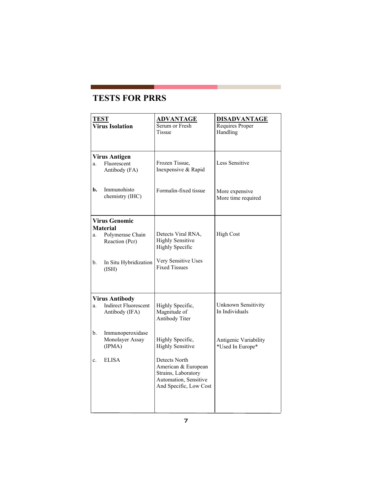# **TESTS FOR PRRS**

| <b>TEST</b><br><b>Virus Isolation</b> |                                               | <b>ADVANTAGE</b><br>Serum or Fresh<br>Tissue                                                                   | <b>DISADVANTAGE</b><br>Requires Proper<br>Handling |  |
|---------------------------------------|-----------------------------------------------|----------------------------------------------------------------------------------------------------------------|----------------------------------------------------|--|
|                                       | <b>Virus Antigen</b>                          |                                                                                                                |                                                    |  |
| a.                                    | Fluorescent<br>Antibody (FA)                  | Frozen Tissue,<br>Inexpensive & Rapid                                                                          | <b>Less Sensitive</b>                              |  |
| b.                                    | Immunohisto<br>chemistry (IHC)                | Formalin-fixed tissue                                                                                          | More expensive<br>More time required               |  |
| <b>Virus Genomic</b>                  |                                               |                                                                                                                |                                                    |  |
|                                       | <b>Material</b>                               |                                                                                                                |                                                    |  |
| a.                                    | Polymerase Chain<br>Reaction (Pcr)            | Detects Viral RNA,<br><b>Highly Sensitive</b><br><b>Highly Specific</b>                                        | <b>High Cost</b>                                   |  |
| b.                                    | In Situ Hybridization<br>(ISH)                | Very Sensitive Uses<br><b>Fixed Tissues</b>                                                                    |                                                    |  |
|                                       | <b>Virus Antibody</b>                         |                                                                                                                |                                                    |  |
| a.                                    | <b>Indirect Fluorescent</b><br>Antibody (IFA) | Highly Specific,<br>Magnitude of<br>Antibody Titer                                                             | Unknown Sensitivity<br>In Individuals              |  |
| b.                                    | Immunoperoxidase<br>Monolayer Assay<br>(IPMA) | Highly Specific,<br><b>Highly Sensitive</b>                                                                    | Antigenic Variability<br>*Used In Europe*          |  |
| c.                                    | <b>ELISA</b>                                  | Detects North<br>American & European<br>Strains, Laboratory<br>Automation, Sensitive<br>And Specific, Low Cost |                                                    |  |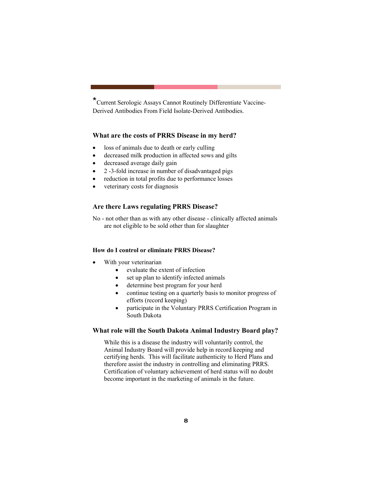\*Current Serologic Assays Cannot Routinely Differentiate Vaccine-Derived Antibodies From Field Isolate-Derived Antibodies.

# **What are the costs of PRRS Disease in my herd?**

- loss of animals due to death or early culling
- decreased milk production in affected sows and gilts
- decreased average daily gain
- 2 -3-fold increase in number of disadvantaged pigs
- reduction in total profits due to performance losses
- veterinary costs for diagnosis

# **Are there Laws regulating PRRS Disease?**

No - not other than as with any other disease - clinically affected animals are not eligible to be sold other than for slaughter

#### **How do I control or eliminate PRRS Disease?**

- With your veterinarian
	- evaluate the extent of infection
	- set up plan to identify infected animals
	- determine best program for your herd
	- continue testing on a quarterly basis to monitor progress of efforts (record keeping)
	- participate in the Voluntary PRRS Certification Program in South Dakota

# **What role will the South Dakota Animal Industry Board play?**

While this is a disease the industry will voluntarily control, the Animal Industry Board will provide help in record keeping and certifying herds. This will facilitate authenticity to Herd Plans and therefore assist the industry in controlling and eliminating PRRS. Certification of voluntary achievement of herd status will no doubt become important in the marketing of animals in the future.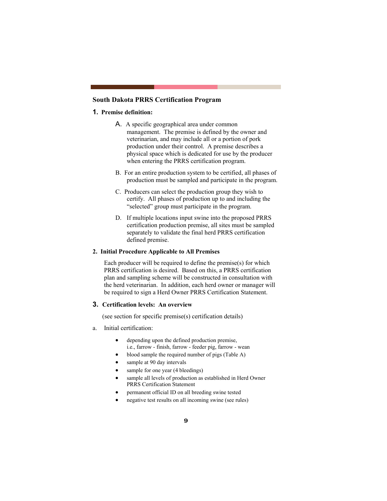# **South Dakota PRRS Certification Program**

#### **1. Premise definition:**

- A. A specific geographical area under common management. The premise is defined by the owner and veterinarian, and may include all or a portion of pork production under their control. A premise describes a physical space which is dedicated for use by the producer when entering the PRRS certification program.
- B. For an entire production system to be certified, all phases of production must be sampled and participate in the program.
- C. Producers can select the production group they wish to certify. All phases of production up to and including the "selected" group must participate in the program.
- D. If multiple locations input swine into the proposed PRRS certification production premise, all sites must be sampled separately to validate the final herd PRRS certification defined premise.

# **2. Initial Procedure Applicable to All Premises**

Each producer will be required to define the premise(s) for which PRRS certification is desired. Based on this, a PRRS certification plan and sampling scheme will be constructed in consultation with the herd veterinarian. In addition, each herd owner or manager will be required to sign a Herd Owner PRRS Certification Statement.

# **3. Certification levels: An overview**

(see section for specific premise(s) certification details)

- a. Initial certification:
	- depending upon the defined production premise, i.e., farrow - finish, farrow - feeder pig, farrow - wean
	- blood sample the required number of pigs (Table A)
	- sample at 90 day intervals
	- sample for one year (4 bleedings)
	- sample all levels of production as established in Herd Owner PRRS Certification Statement
	- permanent official ID on all breeding swine tested
	- negative test results on all incoming swine (see rules)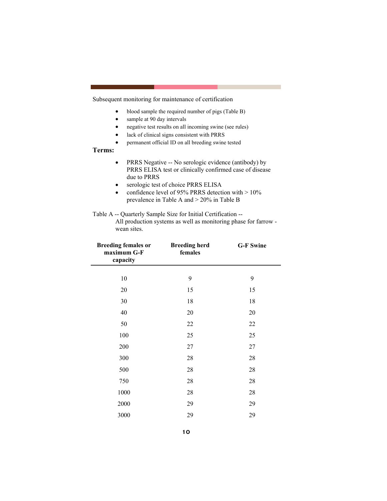Subsequent monitoring for maintenance of certification

- blood sample the required number of pigs (Table B)
- sample at 90 day intervals
- negative test results on all incoming swine (see rules)
- lack of clinical signs consistent with PRRS
- permanent official ID on all breeding swine tested

# **Terms:**

- PRRS Negative -- No serologic evidence (antibody) by PRRS ELISA test or clinically confirmed case of disease due to PRRS
- serologic test of choice PRRS ELISA
- confidence level of 95% PRRS detection with  $> 10\%$ prevalence in Table A and > 20% in Table B

#### Table A -- Quarterly Sample Size for Initial Certification --

All production systems as well as monitoring phase for farrow wean sites.

| <b>Breeding females or</b><br>maximum G-F<br>capacity | <b>Breeding herd</b><br>females | <b>G-F Swine</b> |
|-------------------------------------------------------|---------------------------------|------------------|
|                                                       |                                 |                  |
| 10                                                    | 9                               | 9                |
| 20                                                    | 15                              | 15               |
| 30                                                    | 18                              | 18               |
| 40                                                    | 20                              | 20               |
| 50                                                    | 22                              | 22               |
| 100                                                   | 25                              | 25               |
| 200                                                   | 27                              | 27               |
| 300                                                   | 28                              | 28               |
| 500                                                   | 28                              | 28               |
| 750                                                   | 28                              | 28               |
| 1000                                                  | 28                              | 28               |
| 2000                                                  | 29                              | 29               |
| 3000                                                  | 29                              | 29               |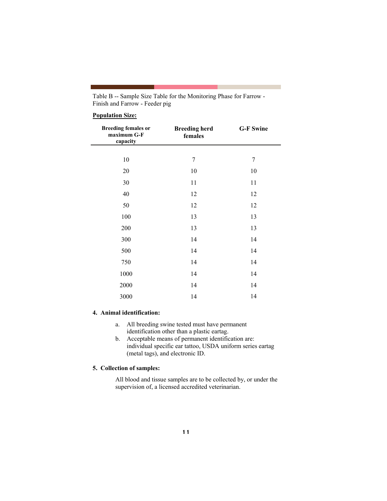| Table B -- Sample Size Table for the Monitoring Phase for Farrow - |  |
|--------------------------------------------------------------------|--|
| Finish and Farrow - Feeder pig                                     |  |

# **Population Size:**

| <b>Breeding females or</b><br>maximum G-F<br>capacity | <b>Breeding herd</b><br>females | <b>G-F Swine</b> |
|-------------------------------------------------------|---------------------------------|------------------|
|                                                       |                                 |                  |
| 10                                                    | 7                               | $\overline{7}$   |
| 20                                                    | 10                              | 10               |
| 30                                                    | 11                              | 11               |
| 40                                                    | 12                              | 12               |
| 50                                                    | 12                              | 12               |
| 100                                                   | 13                              | 13               |
| 200                                                   | 13                              | 13               |
| 300                                                   | 14                              | 14               |
| 500                                                   | 14                              | 14               |
| 750                                                   | 14                              | 14               |
| 1000                                                  | 14                              | 14               |
| 2000                                                  | 14                              | 14               |
| 3000                                                  | 14                              | 14               |

# **4. Animal identification:**

- a. All breeding swine tested must have permanent identification other than a plastic eartag.
- b. Acceptable means of permanent identification are: individual specific ear tattoo, USDA uniform series eartag (metal tags), and electronic ID.

# **5. Collection of samples:**

All blood and tissue samples are to be collected by, or under the supervision of, a licensed accredited veterinarian.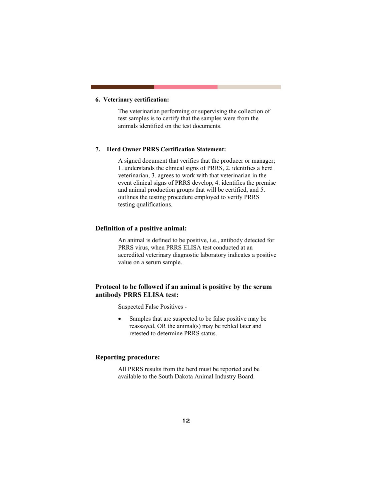# **6. Veterinary certification:**

The veterinarian performing or supervising the collection of test samples is to certify that the samples were from the animals identified on the test documents.

#### **7. Herd Owner PRRS Certification Statement:**

A signed document that verifies that the producer or manager; 1. understands the clinical signs of PRRS, 2. identifies a herd veterinarian, 3. agrees to work with that veterinarian in the event clinical signs of PRRS develop, 4. identifies the premise and animal production groups that will be certified, and 5. outlines the testing procedure employed to verify PRRS testing qualifications.

# **Definition of a positive animal:**

An animal is defined to be positive, i.e., antibody detected for PRRS virus, when PRRS ELISA test conducted at an accredited veterinary diagnostic laboratory indicates a positive value on a serum sample.

# **Protocol to be followed if an animal is positive by the serum antibody PRRS ELISA test:**

Suspected False Positives -

• Samples that are suspected to be false positive may be reassayed, OR the animal(s) may be rebled later and retested to determine PRRS status.

# **Reporting procedure:**

All PRRS results from the herd must be reported and be available to the South Dakota Animal Industry Board.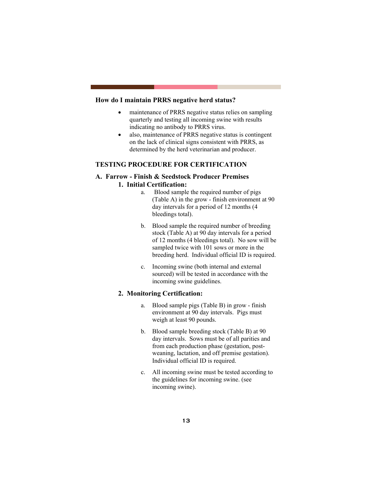# **How do I maintain PRRS negative herd status?**

- maintenance of PRRS negative status relies on sampling quarterly and testing all incoming swine with results indicating no antibody to PRRS virus.
- also, maintenance of PRRS negative status is contingent on the lack of clinical signs consistent with PRRS, as determined by the herd veterinarian and producer.

# **TESTING PROCEDURE FOR CERTIFICATION**

# **A. Farrow - Finish & Seedstock Producer Premises 1. Initial Certification:**

- a. Blood sample the required number of pigs (Table A) in the grow - finish environment at 90 day intervals for a period of 12 months (4 bleedings total).
- b. Blood sample the required number of breeding stock (Table A) at 90 day intervals for a period of 12 months (4 bleedings total). No sow will be sampled twice with 101 sows or more in the breeding herd. Individual official ID is required.
- c. Incoming swine (both internal and external sourced) will be tested in accordance with the incoming swine guidelines.

# **2. Monitoring Certification:**

- a. Blood sample pigs (Table B) in grow finish environment at 90 day intervals. Pigs must weigh at least 90 pounds.
- b. Blood sample breeding stock (Table B) at 90 day intervals. Sows must be of all parities and from each production phase (gestation, postweaning, lactation, and off premise gestation). Individual official ID is required.
- c. All incoming swine must be tested according to the guidelines for incoming swine. (see incoming swine).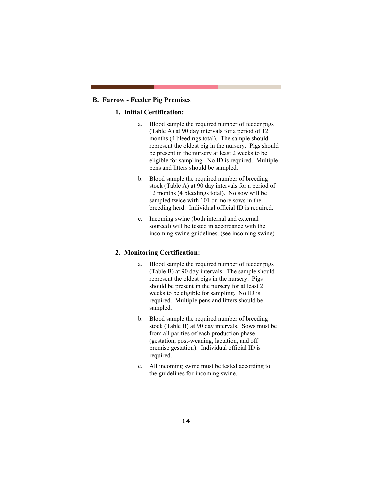# **B. Farrow - Feeder Pig Premises**

# **1. Initial Certification:**

- a. Blood sample the required number of feeder pigs (Table A) at 90 day intervals for a period of 12 months (4 bleedings total). The sample should represent the oldest pig in the nursery. Pigs should be present in the nursery at least 2 weeks to be eligible for sampling. No ID is required. Multiple pens and litters should be sampled.
- b. Blood sample the required number of breeding stock (Table A) at 90 day intervals for a period of 12 months (4 bleedings total). No sow will be sampled twice with 101 or more sows in the breeding herd. Individual official ID is required.
- c. Incoming swine (both internal and external sourced) will be tested in accordance with the incoming swine guidelines. (see incoming swine)

#### **2. Monitoring Certification:**

- a. Blood sample the required number of feeder pigs (Table B) at 90 day intervals. The sample should represent the oldest pigs in the nursery. Pigs should be present in the nursery for at least 2 weeks to be eligible for sampling. No ID is required. Multiple pens and litters should be sampled.
- b. Blood sample the required number of breeding stock (Table B) at 90 day intervals. Sows must be from all parities of each production phase (gestation, post-weaning, lactation, and off premise gestation). Individual official ID is required.
- c. All incoming swine must be tested according to the guidelines for incoming swine.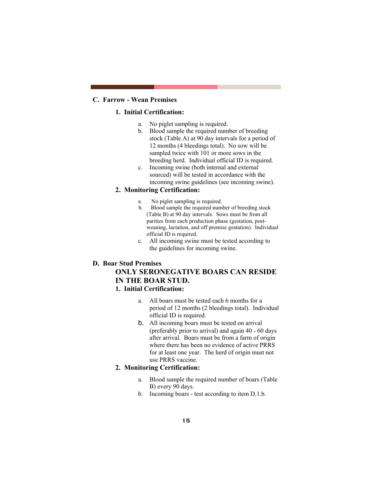# **C. Farrow - Wean Premises**

# **1. Initial Certification:**

- a. No piglet sampling is required.
- b. Blood sample the required number of breeding stock (Table A) at 90 day intervals for a period of 12 months (4 bleedings total). No sow will be sampled twice with 101 or more sows in the breeding herd. Individual official ID is required.
- c. Incoming swine (both internal and external sourced) will be tested in accordance with the incoming swine guidelines (see incoming swine).

# **2. Monitoring Certification:**

- a. No piglet sampling is required.
- b. Blood sample the required number of breeding stock (Table B) at 90 day intervals. Sows must be from all parities from each production phase (gestation, postweaning, lactation, and off premise gestation). Individual official ID is required.
- c. All incoming swine must be tested according to the guidelines for incoming swine.

#### **D. Boar Stud Premises**

# **ONLY SERONEGATIVE BOARS CAN RESIDE IN THE BOAR STUD.**

# **1. Initial Certification:**

- a. All boars must be tested each 6 months for a period of 12 months (2 bleedings total). Individual official ID is required.
- b. All incoming boars must be tested on arrival (preferably prior to arrival) and again 40 - 60 days after arrival. Boars must be from a farm of origin where there has been no evidence of active PRRS for at least one year. The herd of origin must not use PRRS vaccine.

# **2. Monitoring Certification:**

- a. Blood sample the required number of boars (Table B) every 90 days.
- b. Incoming boars test according to item D.1.b.